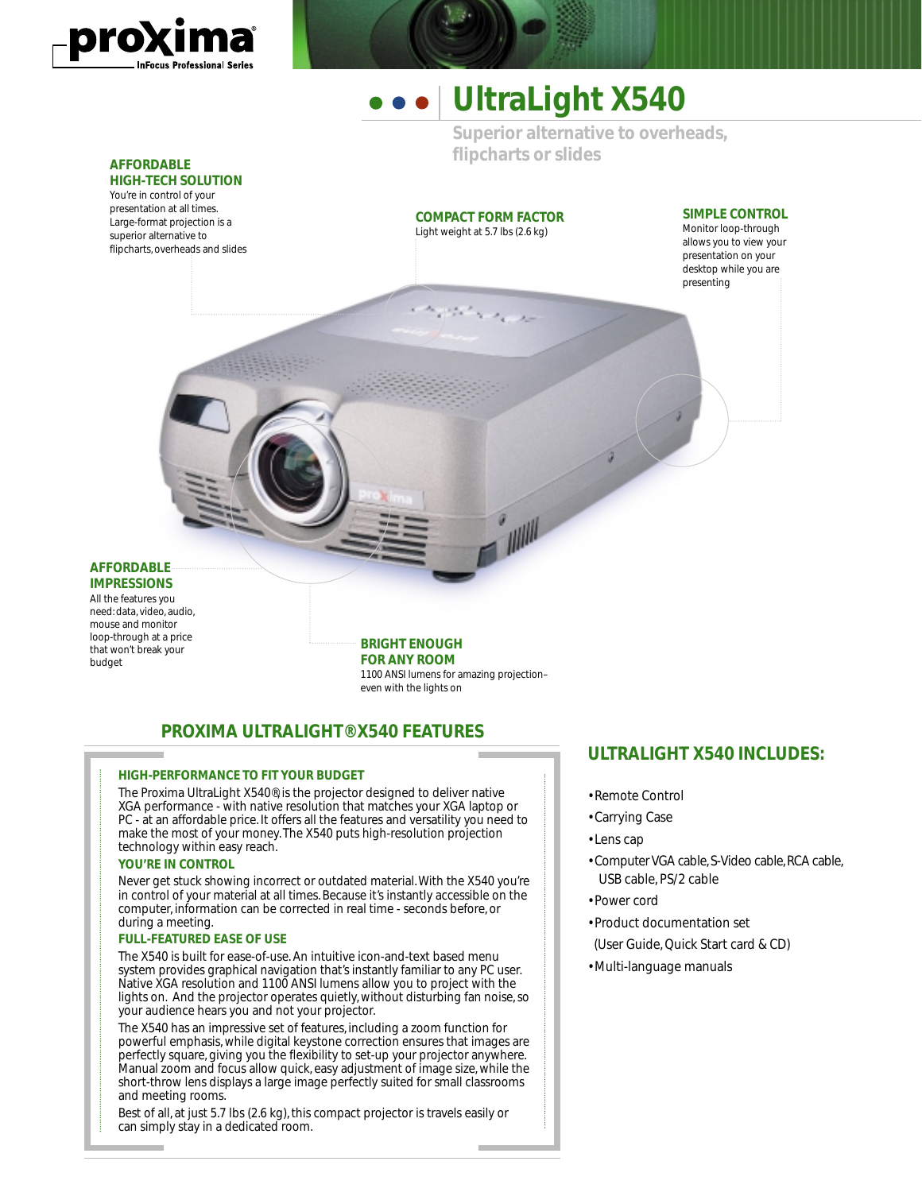

# **UltraLight X540**

**Superior alternative to overheads, flipcharts or slides**

#### **AFFORDABLE HIGH-TECH SOLUTION**

You're in control of your presentation at all times. Large-format projection is a superior alternative to flipcharts, overheads and slides

#### **COMPACT FORM FACTOR** Light weight at 5.7 lbs (2.6 kg)

JULIU

## **SIMPLE CONTROL**

Monitor loop-through allows you to view your presentation on your desktop while you are presenting

#### **AFFORDABLE IMPRESSIONS**

All the features you need: data, video, audio, mouse and monitor loop-through at a price that won't break your budget

# **BRIGHT ENOUGH**

**FOR ANY ROOM** 1100 ANSI lumens for amazing projection– even with the lights on

# **PROXIMA ULTRALIGHT® X540 FEATURES**

#### **HIGH-PERFORMANCE TO FIT YOUR BUDGET**

The Proxima UltraLight X540®, is the projector designed to deliver native XGA performance - with native resolution that matches your XGA laptop or PC - at an affordable price. It offers all the features and versatility you need to make the most of your money. The X540 puts high-resolution projection technology within easy reach.

#### **YOU'RE IN CONTROL**

Never get stuck showing incorrect or outdated material. With the X540 you're in control of your material at all times. Because it's instantly accessible on the computer, information can be corrected in real time - seconds before, or during a meeting.

#### **FULL-FEATURED EASE OF USE**

The X540 is built for ease-of-use. An intuitive icon-and-text based menu system provides graphical navigation that's instantly familiar to any PC user. Native XGA resolution and 1100 ANSI lumens allow you to project with the lights on. And the projector operates quietly, without disturbing fan noise, so your audience hears you and not your projector.

The X540 has an impressive set of features, including a zoom function for powerful emphasis, while digital keystone correction ensures that images are perfectly square, giving you the flexibility to set-up your projector anywhere. Manual zoom and focus allow quick, easy adjustment of image size, while the short-throw lens displays a large image perfectly suited for small classrooms and meeting rooms.

Best of all, at just 5.7 lbs (2.6 kg), this compact projector is travels easily or can simply stay in a dedicated room.

# **ULTRALIGHT X540 INCLUDES:**

- Remote Control
- Carrying Case
- Lens cap
- Computer VGA cable, S-Video cable, RCA cable, USB cable, PS/2 cable
- Power cord
- Product documentation set
- (User Guide, Quick Start card & CD)
- Multi-language manuals